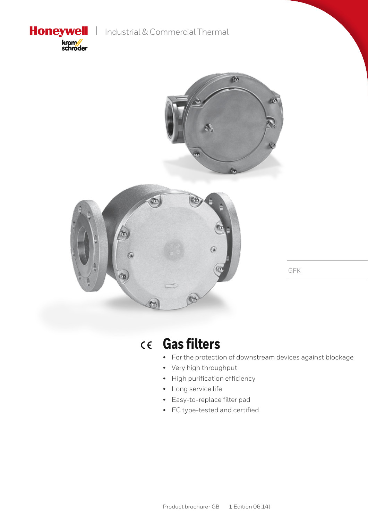**Honeywell** | Industrial & Commercial Thermal







GFK

#### **Gas filters**  $C \in$

- For the protection of downstream devices against blockage
- • Very high throughput
- • High purification efficiency
- • Long service life
- • Easy-to-replace filter pad
- • EC type-tested and certified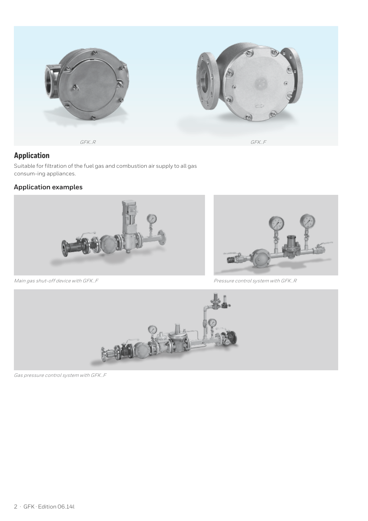

## **Application**

Suitable for filtration of the fuel gas and combustion air supply to all gas consum-ing appliances.

## **Application examples**



ei î

*Main gas shut-off device with GFK..F Pressure control system with GFK..R*



*Gas pressure control system with GFK..F*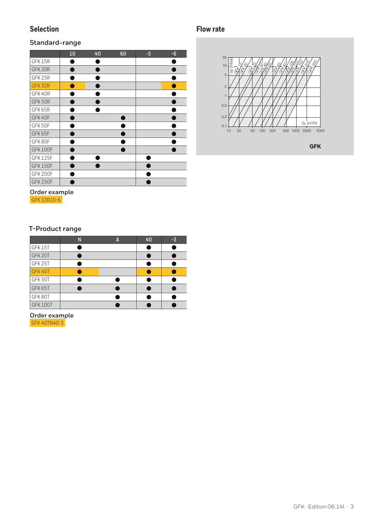## **Selection**

#### **Standard-range**

|                 | 10 | 40 | 60 | $-3$ | $-6$ |
|-----------------|----|----|----|------|------|
| GFK 15R         |    |    |    |      |      |
| GFK 20R         |    |    |    |      |      |
| GFK 25R         |    |    |    |      |      |
| GFK32R          |    |    |    |      |      |
| GFK40R          |    |    |    |      |      |
| GFK 50R         |    |    |    |      |      |
| GFK 65R         |    |    |    |      |      |
| GFK 40F         |    |    |    |      |      |
| GFK 50F         |    |    |    |      |      |
| GFK 65F         |    |    |    |      |      |
| GFK80F          |    |    |    |      |      |
| <b>GFK 100F</b> |    |    |    |      |      |
| GFK 125F        |    |    |    |      |      |
| <b>GFK150F</b>  |    |    |    |      |      |
| <b>GFK 200F</b> |    |    |    |      |      |
| <b>GFK 250F</b> |    |    |    |      |      |

# **Flow rate**



GFK

## **T-Product range**

**Order example**  GFK 32R10-6

|                 | N | Α | 40 | $-3$ |
|-----------------|---|---|----|------|
| GFK15T          |   |   |    |      |
| GFK 20T         |   |   |    |      |
| GFK 25T         |   |   |    |      |
| GFK 40T         |   |   |    |      |
| GFK 50T         |   |   |    |      |
| GFK 65T         |   |   |    |      |
| GFK80T          |   |   |    |      |
| <b>GFK 100T</b> |   |   |    |      |

**Order example** GFK 40TN40-3